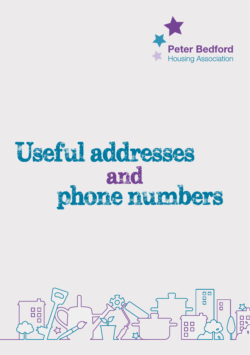

## Useful addresses phone numbers and

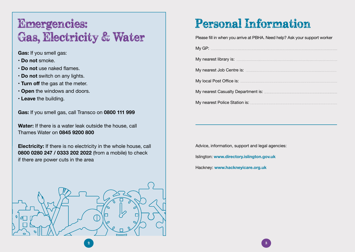## Emergencies: Gas, Electricity & Water

**Gas:** If you smell gas:

- **Do not** smoke.
- **Do not** use naked flames.
- **Do not** switch on any lights.
- **Turn off** the gas at the meter.
- **Open** the windows and doors.
- **Leave** the building.

**Gas:** If you smell gas, call Transco on **0800 111 999**

**Water:** If there is a water leak outside the house, call Thames Water on **0845 9200 800** 

**Electricity:** If there is no electricity in the whole house, call **0800 0280 247 / 0333 202 2022** (from a mobile) to check if there are power cuts in the area



## Personal Information

Please fill in when you arrive at PBHA. Need help? Ask your support worker

| My nearest library is: <b>contract of the contract of the contract of the contract of the contract of the contract of the contract of the contract of the contract of the contract of the contract of the contract of the contra</b> |
|--------------------------------------------------------------------------------------------------------------------------------------------------------------------------------------------------------------------------------------|
|                                                                                                                                                                                                                                      |
| My local Post Office is: <b>www.arenamin.community.community.</b>                                                                                                                                                                    |
|                                                                                                                                                                                                                                      |
|                                                                                                                                                                                                                                      |

Advice, information, support and legal agencies: Islington: **www.directory.islington.gov.uk** Hackney: **www.hackneyicare.org.uk**